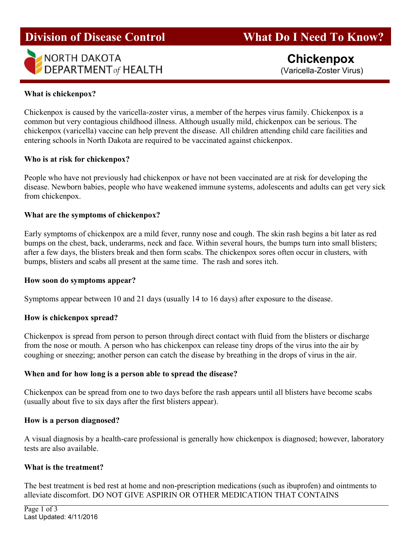# **Division of Disease Control**



**What Do I Need To Know?** 

## What is chickenpox?

Chickenpox is caused by the varicella-zoster virus, a member of the herpes virus family. Chickenpox is a common but very contagious childhood illness. Although usually mild, chickenpox can be serious. The chickenpox (varicella) vaccine can help prevent the disease. All children attending child care facilities and entering schools in North Dakota are required to be vaccinated against chickenpox.

#### Who is at risk for chickenpox?

People who have not previously had chickenpox or have not been vaccinated are at risk for developing the disease. Newborn babies, people who have weakened immune systems, adolescents and adults can get very sick from chickenpox.

### What are the symptoms of chickenpox?

Early symptoms of chickenpox are a mild fever, runny nose and cough. The skin rash begins a bit later as red bumps on the chest, back, underarms, neck and face. Within several hours, the bumps turn into small blisters; after a few days, the blisters break and then form scabs. The chickenpox sores often occur in clusters, with bumps, blisters and scabs all present at the same time. The rash and sores itch.

#### How soon do symptoms appear?

Symptoms appear between 10 and 21 days (usually 14 to 16 days) after exposure to the disease.

#### How is chickenpox spread?

Chickenpox is spread from person to person through direct contact with fluid from the blisters or discharge from the nose or mouth. A person who has chickenpox can release tiny drops of the virus into the air by coughing or sneezing; another person can catch the disease by breathing in the drops of virus in the air.

#### When and for how long is a person able to spread the disease?

Chickenpox can be spread from one to two days before the rash appears until all blisters have become scabs (usually about five to six days after the first blisters appear).

#### How is a person diagnosed?

A visual diagnosis by a health-care professional is generally how chickenpox is diagnosed; however, laboratory tests are also available.

#### What is the treatment?

The best treatment is bed rest at home and non-prescription medications (such as ibuprofen) and ointments to alleviate discomfort. DO NOT GIVE ASPIRIN OR OTHER MEDICATION THAT CONTAINS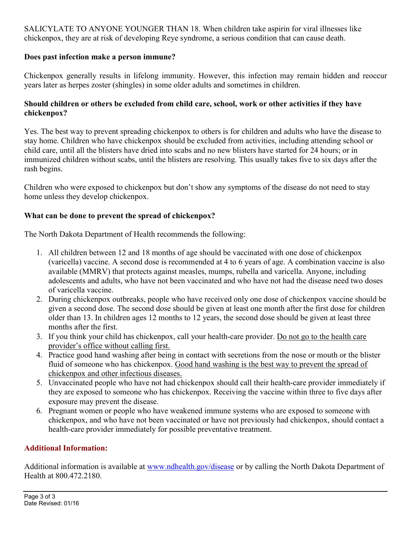SALICYLATE TO ANYONE YOUNGER THAN 18. When children take aspirin for viral illnesses like chickenpox, they are at risk of developing Reye syndrome, a serious condition that can cause death.

# Does past infection make a person immune?

Chickenpox generally results in lifelong immunity. However, this infection may remain hidden and reoccur years later as herpes zoster (shingles) in some older adults and sometimes in children.

## Should children or others be excluded from child care, school, work or other activities if they have chickenpox?

Yes. The best way to prevent spreading chickenpox to others is for children and adults who have the disease to stay home. Children who have chickenpox should be excluded from activities, including attending school or child care, until all the blisters have dried into scabs and no new blisters have started for 24 hours; or in immunized children without scabs, until the blisters are resolving. This usually takes five to six days after the rash begins.

Children who were exposed to chickenpox but don't show any symptoms of the disease do not need to stay home unless they develop chickenpox.

# What can be done to prevent the spread of chickenpox?

The North Dakota Department of Health recommends the following:

- 1. All children between 12 and 18 months of age should be vaccinated with one dose of chickenpox (varicella) vaccine. A second dose is recommended at 4 to 6 years of age. A combination vaccine is also available (MMRV) that protects against measles, mumps, rubella and varicella. Anyone, including adolescents and adults, who have not been vaccinated and who have not had the disease need two doses of varicella vaccine.
- 2. During chickenpox outbreaks, people who have received only one dose of chickenpox vaccine should be given a second dose. The second dose should be given at least one month after the first dose for children older than 13. In children ages 12 months to 12 years, the second dose should be given at least three months after the first.
- 3. If you think your child has chickenpox, call your health-care provider. Do not go to the health care provider's office without calling first.
- 4. Practice good hand washing after being in contact with secretions from the nose or mouth or the blister fluid of someone who has chickenpox. Good hand washing is the best way to prevent the spread of chickenpox and other infectious diseases.
- 5. Unvaccinated people who have not had chickenpox should call their health-care provider immediately if they are exposed to someone who has chickenpox. Receiving the vaccine within three to five days after exposure may prevent the disease.
- 6. Pregnant women or people who have weakened immune systems who are exposed to someone with chickenpox, and who have not been vaccinated or have not previously had chickenpox, should contact a health-care provider immediately for possible preventative treatment.

# Additional Information:

Additional information is available at www.ndhealth.gov/disease or by calling the North Dakota Department of Health at 800.472.2180.